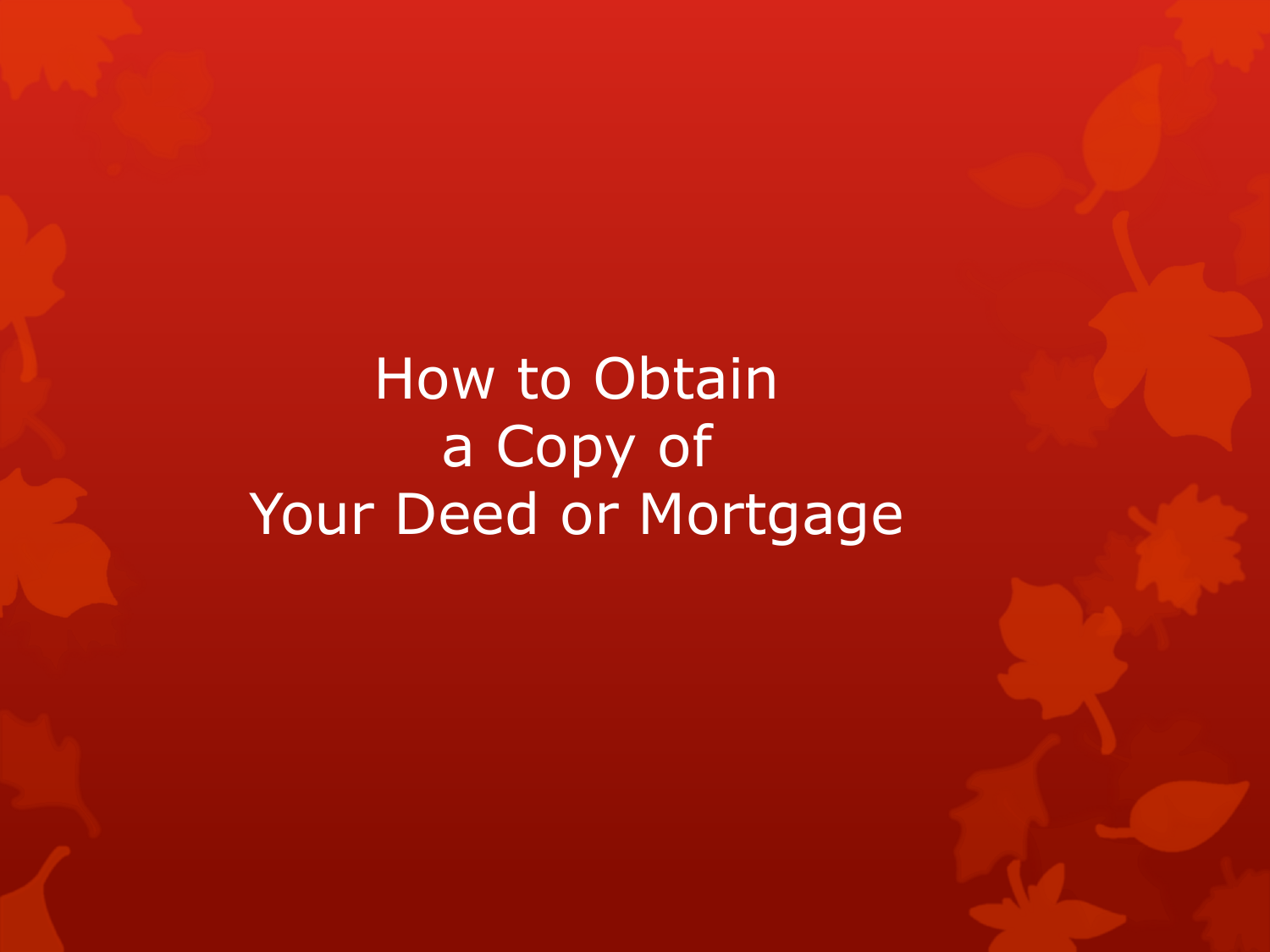## How to Obtain a Copy of Your Deed or Mortgage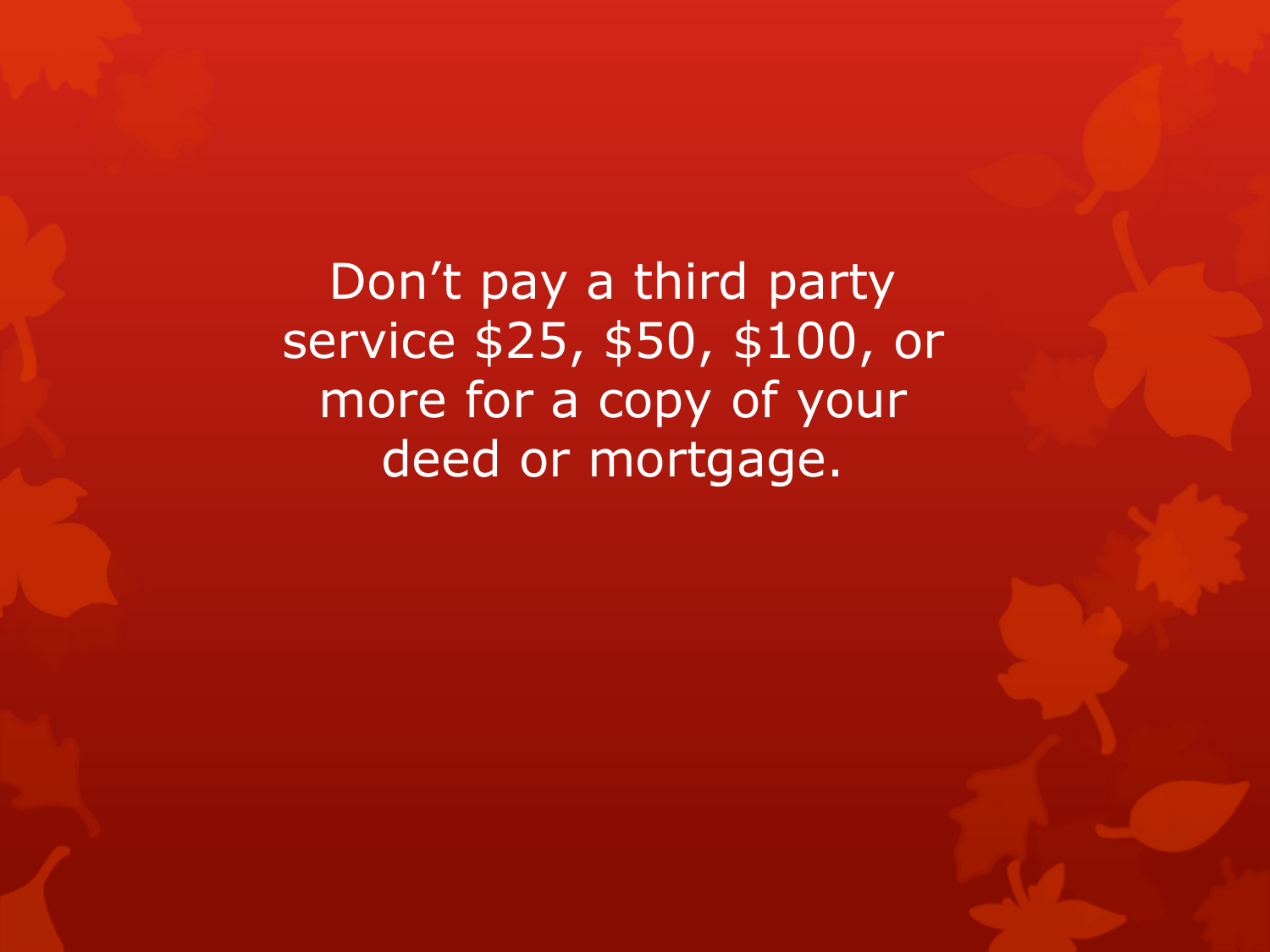Don't pay a third party service \$25, \$50, \$100, or more for a copy of your deed or mortgage.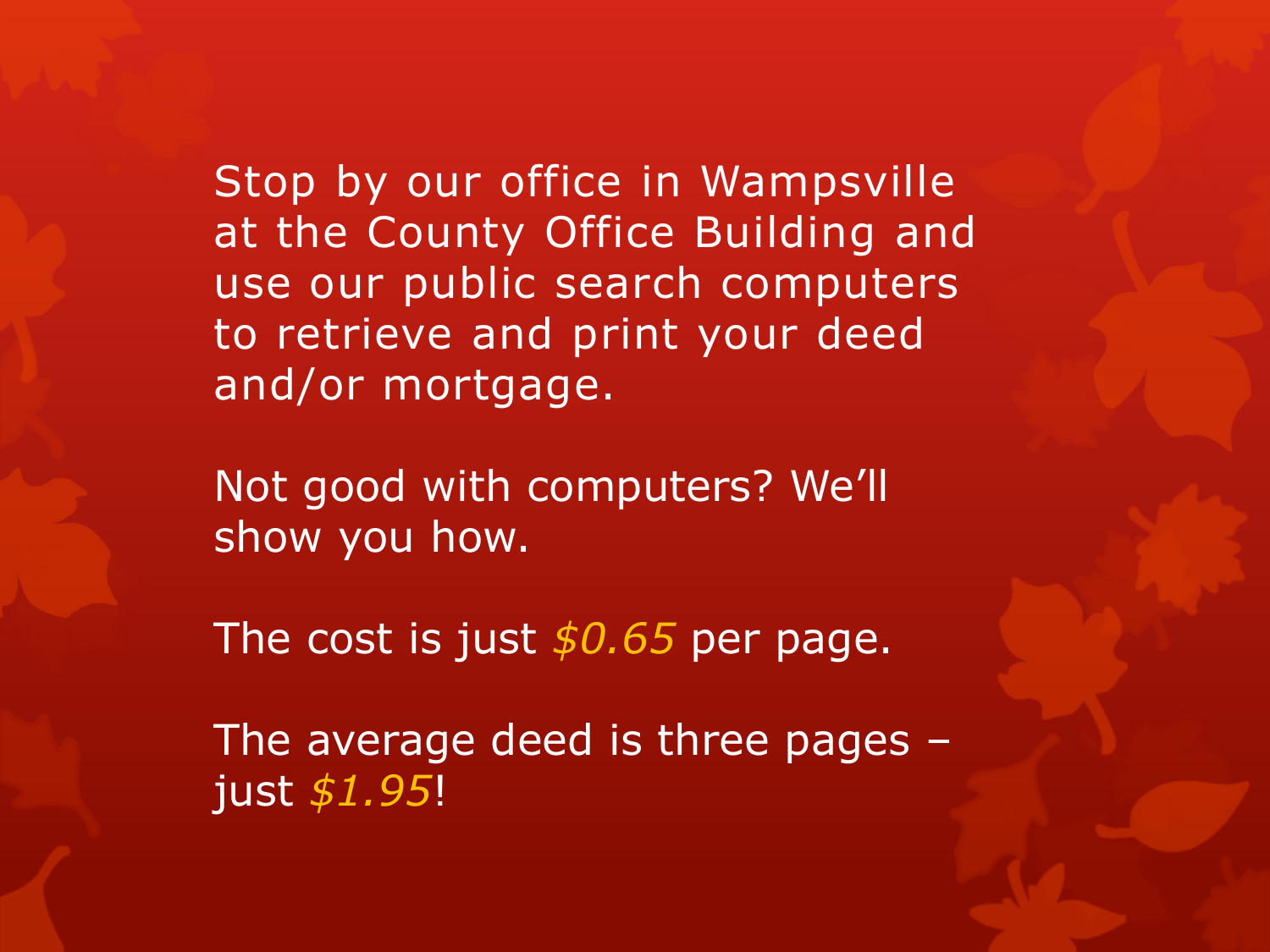Stop by our office in Wampsville at the County Office Building and use our public search computers to retrieve and print your deed and/or mortgage.

Not good with computers? We'll show you how.

The cost is just *\$0.65* per page.

The average deed is three pages – just *\$1.95*!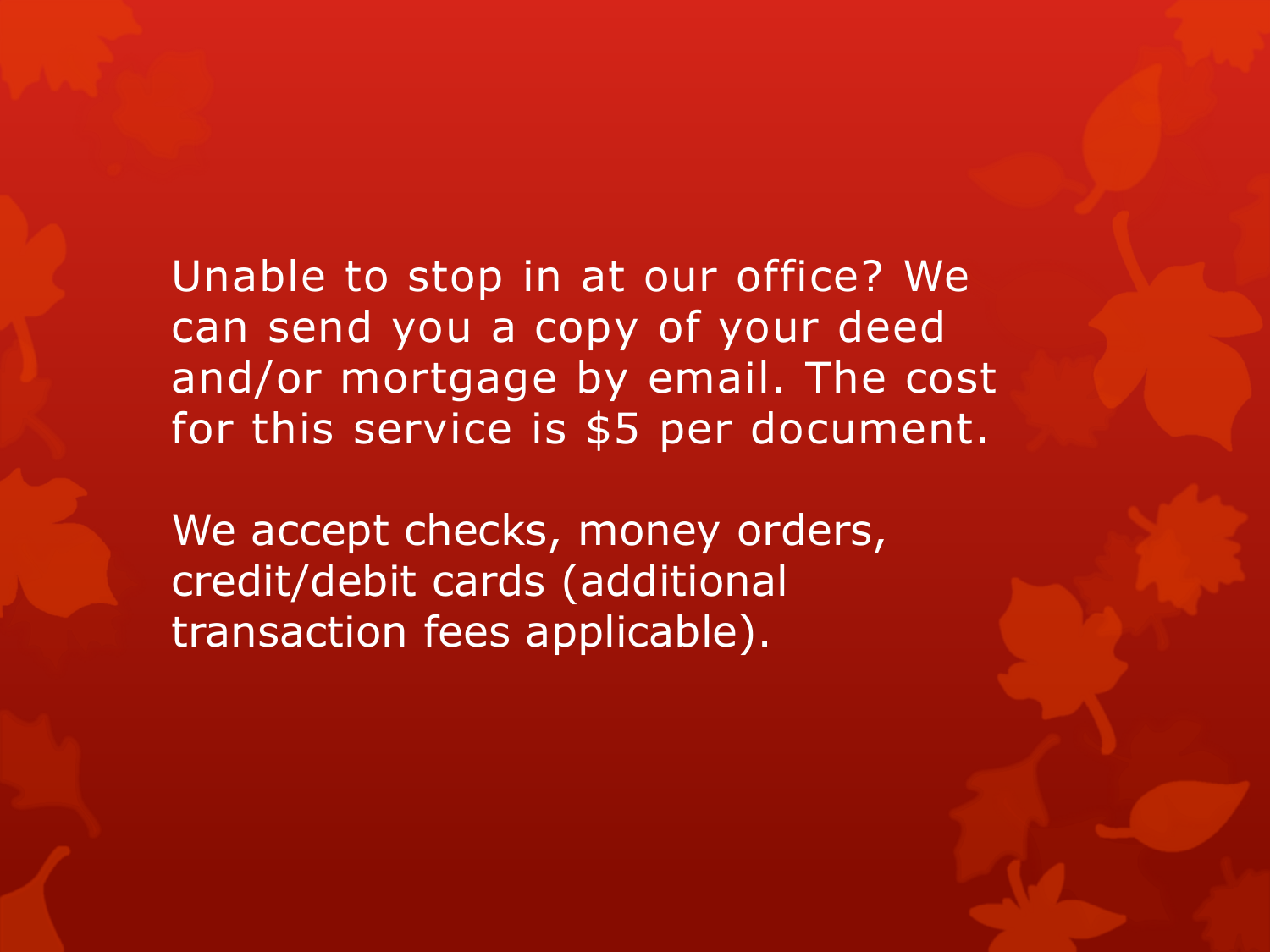Unable to stop in at our office? We can send you a copy of your deed and/or mortgage by email. The cost for this service is \$5 per document.

We accept checks, money orders, credit/debit cards (additional transaction fees applicable).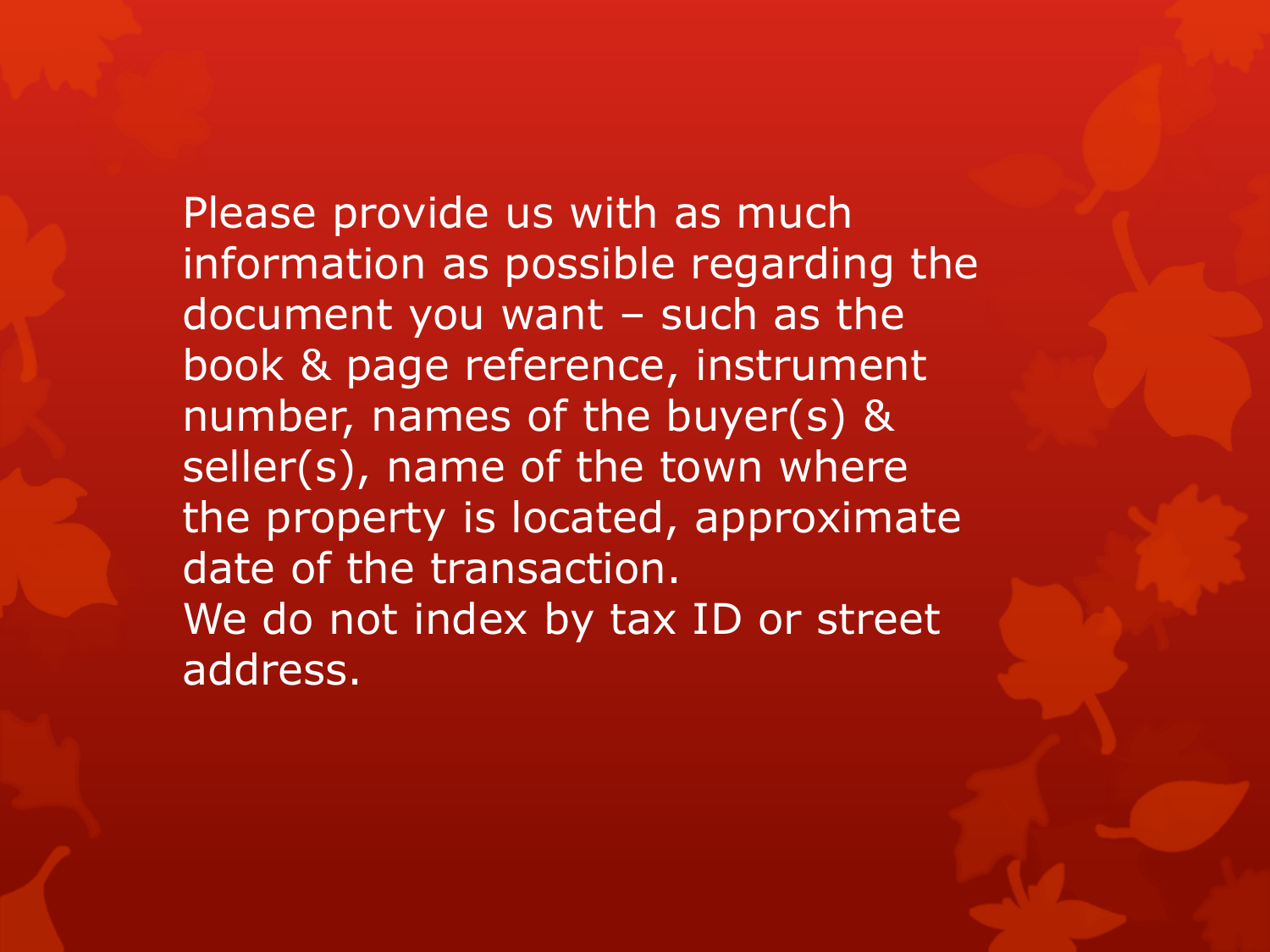Please provide us with as much information as possible regarding the document you want – such as the book & page reference, instrument number, names of the buyer(s) & seller(s), name of the town where the property is located, approximate date of the transaction. We do not index by tax ID or street address.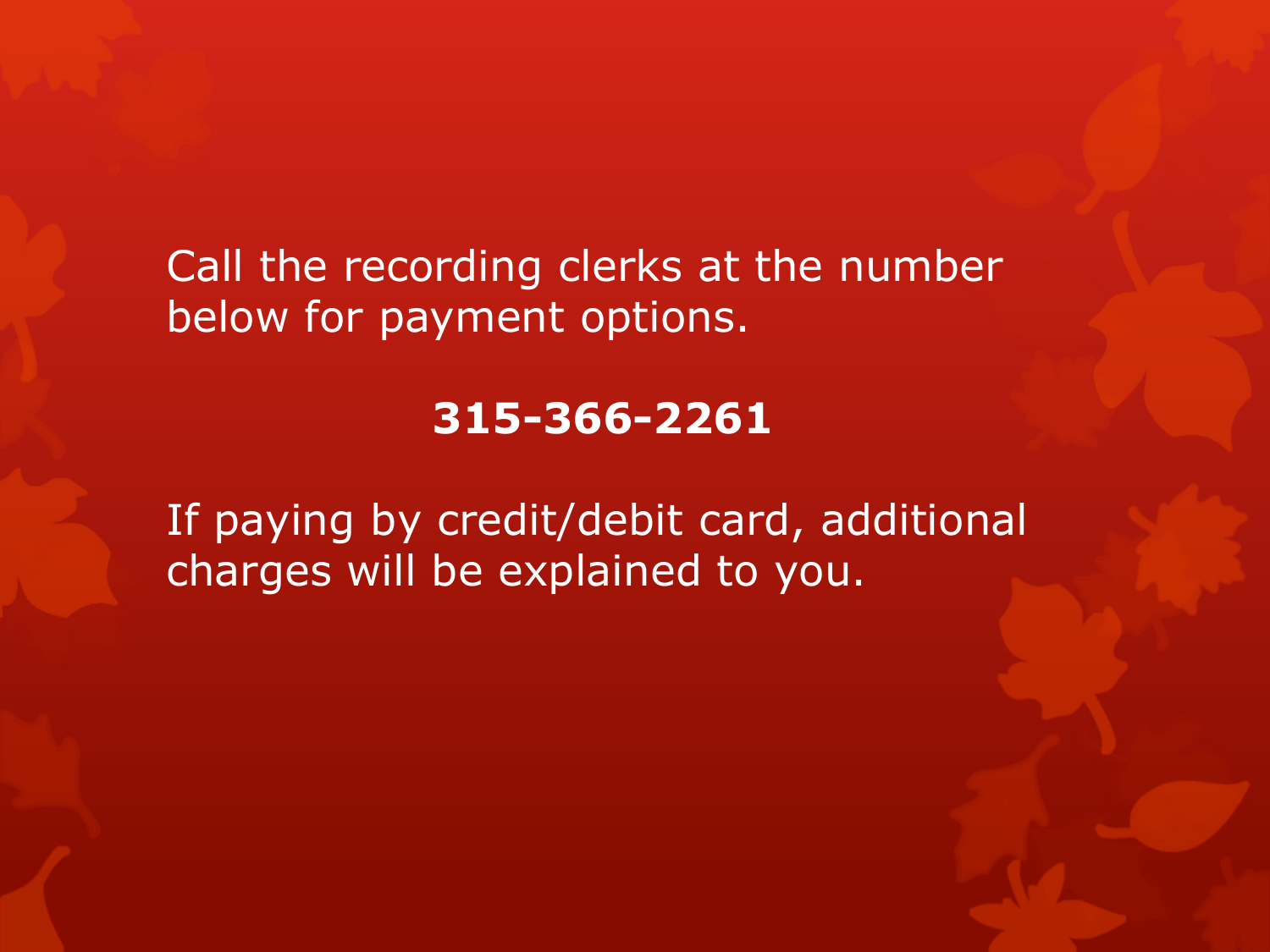Call the recording clerks at the number below for payment options.

## **315-366-2261**

If paying by credit/debit card, additional charges will be explained to you.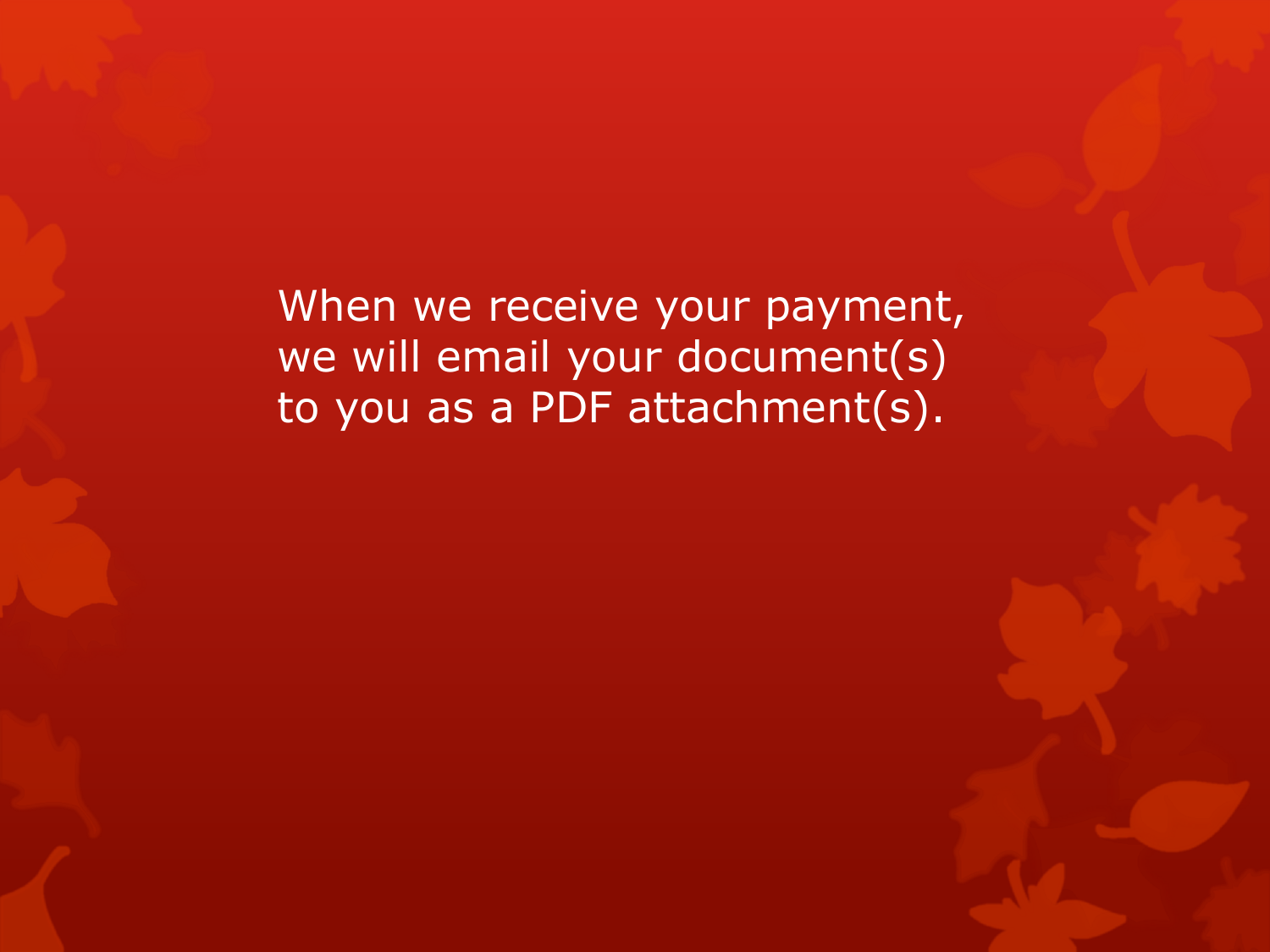When we receive your payment, we will email your document(s) to you as a PDF attachment(s).